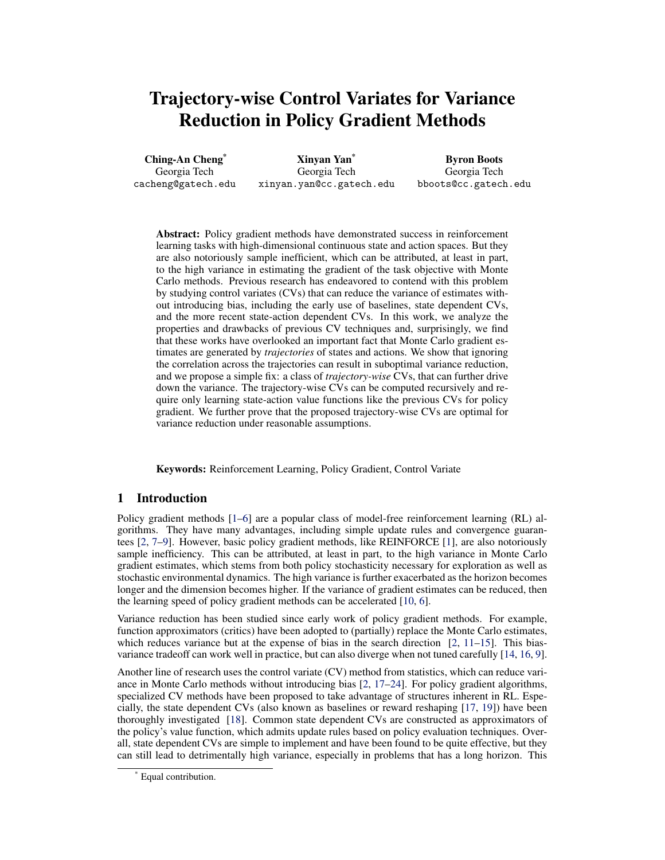# Trajectory-wise Control Variates for Variance Reduction in Policy Gradient Methods

Ching-An Cheng\* Georgia Tech cacheng@gatech.edu

Xinyan Yan\* Georgia Tech xinyan.yan@cc.gatech.edu

Byron Boots Georgia Tech bboots@cc.gatech.edu

Abstract: Policy gradient methods have demonstrated success in reinforcement learning tasks with high-dimensional continuous state and action spaces. But they are also notoriously sample inefficient, which can be attributed, at least in part, to the high variance in estimating the gradient of the task objective with Monte Carlo methods. Previous research has endeavored to contend with this problem by studying control variates (CVs) that can reduce the variance of estimates without introducing bias, including the early use of baselines, state dependent CVs, and the more recent state-action dependent CVs. In this work, we analyze the properties and drawbacks of previous CV techniques and, surprisingly, we find that these works have overlooked an important fact that Monte Carlo gradient estimates are generated by *trajectories* of states and actions. We show that ignoring the correlation across the trajectories can result in suboptimal variance reduction, and we propose a simple fix: a class of *trajectory-wise* CVs, that can further drive down the variance. The trajectory-wise CVs can be computed recursively and require only learning state-action value functions like the previous CVs for policy gradient. We further prove that the proposed trajectory-wise CVs are optimal for variance reduction under reasonable assumptions.

Keywords: Reinforcement Learning, Policy Gradient, Control Variate

# 1 Introduction

Policy gradient methods [\[1–6\]](#page-8-0) are a popular class of model-free reinforcement learning (RL) algorithms. They have many advantages, including simple update rules and convergence guarantees [\[2,](#page-8-0) [7–9\]](#page-8-0). However, basic policy gradient methods, like REINFORCE [\[1\]](#page-8-0), are also notoriously sample inefficiency. This can be attributed, at least in part, to the high variance in Monte Carlo gradient estimates, which stems from both policy stochasticity necessary for exploration as well as stochastic environmental dynamics. The high variance is further exacerbated as the horizon becomes longer and the dimension becomes higher. If the variance of gradient estimates can be reduced, then the learning speed of policy gradient methods can be accelerated [\[10,](#page-8-0) [6\]](#page-8-0).

Variance reduction has been studied since early work of policy gradient methods. For example, function approximators (critics) have been adopted to (partially) replace the Monte Carlo estimates, which reduces variance but at the expense of bias in the search direction  $[2, 11-15]$  $[2, 11-15]$ . This biasvariance tradeoff can work well in practice, but can also diverge when not tuned carefully [\[14,](#page-8-0) [16,](#page-8-0) [9\]](#page-8-0).

Another line of research uses the control variate (CV) method from statistics, which can reduce variance in Monte Carlo methods without introducing bias [\[2,](#page-8-0) [17](#page-8-0)[–24\]](#page-9-0). For policy gradient algorithms, specialized CV methods have been proposed to take advantage of structures inherent in RL. Especially, the state dependent CVs (also known as baselines or reward reshaping [\[17,](#page-8-0) [19\]](#page-8-0)) have been thoroughly investigated [\[18\]](#page-8-0). Common state dependent CVs are constructed as approximators of the policy's value function, which admits update rules based on policy evaluation techniques. Overall, state dependent CVs are simple to implement and have been found to be quite effective, but they can still lead to detrimentally high variance, especially in problems that has a long horizon. This

Equal contribution.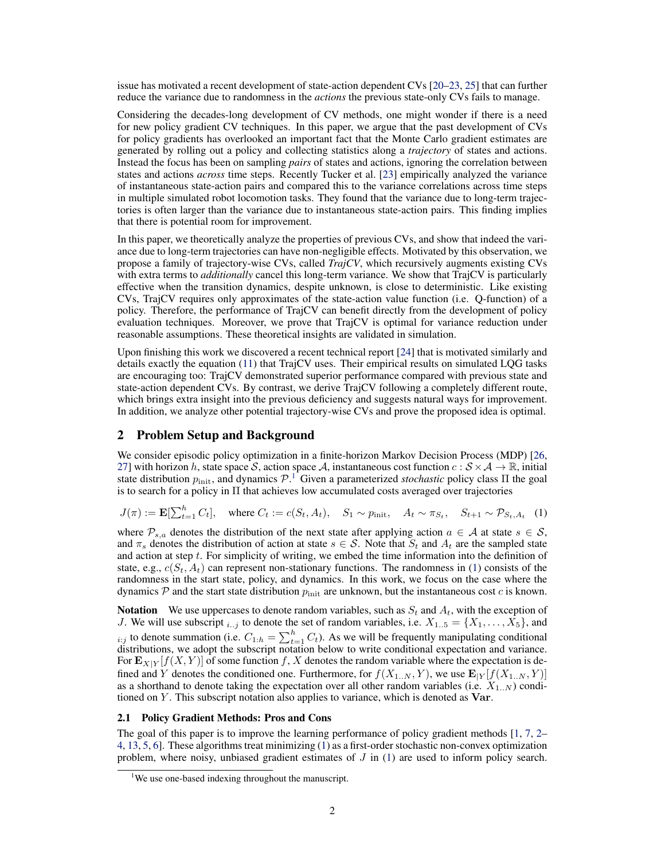<span id="page-1-0"></span>issue has motivated a recent development of state-action dependent CVs [\[20–](#page-8-0)[23,](#page-9-0) [25\]](#page-9-0) that can further reduce the variance due to randomness in the *actions* the previous state-only CVs fails to manage.

Considering the decades-long development of CV methods, one might wonder if there is a need for new policy gradient CV techniques. In this paper, we argue that the past development of CVs for policy gradients has overlooked an important fact that the Monte Carlo gradient estimates are generated by rolling out a policy and collecting statistics along a *trajectory* of states and actions. Instead the focus has been on sampling *pairs* of states and actions, ignoring the correlation between states and actions *across* time steps. Recently Tucker et al. [\[23\]](#page-9-0) empirically analyzed the variance of instantaneous state-action pairs and compared this to the variance correlations across time steps in multiple simulated robot locomotion tasks. They found that the variance due to long-term trajectories is often larger than the variance due to instantaneous state-action pairs. This finding implies that there is potential room for improvement.

In this paper, we theoretically analyze the properties of previous CVs, and show that indeed the variance due to long-term trajectories can have non-negligible effects. Motivated by this observation, we propose a family of trajectory-wise CVs, called *TrajCV*, which recursively augments existing CVs with extra terms to *additionally* cancel this long-term variance. We show that TrajCV is particularly effective when the transition dynamics, despite unknown, is close to deterministic. Like existing CVs, TrajCV requires only approximates of the state-action value function (i.e. Q-function) of a policy. Therefore, the performance of TrajCV can benefit directly from the development of policy evaluation techniques. Moreover, we prove that TrajCV is optimal for variance reduction under reasonable assumptions. These theoretical insights are validated in simulation.

Upon finishing this work we discovered a recent technical report [\[24\]](#page-9-0) that is motivated similarly and details exactly the equation [\(11\)](#page-5-0) that TrajCV uses. Their empirical results on simulated LQG tasks are encouraging too: TrajCV demonstrated superior performance compared with previous state and state-action dependent CVs. By contrast, we derive TrajCV following a completely different route, which brings extra insight into the previous deficiency and suggests natural ways for improvement. In addition, we analyze other potential trajectory-wise CVs and prove the proposed idea is optimal.

# 2 Problem Setup and Background

We consider episodic policy optimization in a finite-horizon Markov Decision Process (MDP) [\[26,](#page-9-0) [27\]](#page-9-0) with horizon h, state space S, action space A, instantaneous cost function  $c : S \times A \to \mathbb{R}$ , initial state distribution  $p_{\text{init}}$ , and dynamics  $\mathcal{P}^{-1}$  Given a parameterized *stochastic* policy class  $\Pi$  the goal is to search for a policy in  $\Pi$  that achieves low accumulated costs averaged over trajectories

$$
J(\pi) := \mathbf{E}[\sum_{t=1}^{h} C_t], \quad \text{where } C_t := c(S_t, A_t), \quad S_1 \sim p_{\text{init}}, \quad A_t \sim \pi_{S_t}, \quad S_{t+1} \sim \mathcal{P}_{S_t, A_t} \quad (1)
$$

where  $\mathcal{P}_{s,a}$  denotes the distribution of the next state after applying action  $a \in \mathcal{A}$  at state  $s \in \mathcal{S}$ , and  $\pi_s$  denotes the distribution of action at state  $s \in S$ . Note that  $S_t$  and  $A_t$  are the sampled state and action at step  $t$ . For simplicity of writing, we embed the time information into the definition of state, e.g.,  $c(S_t, A_t)$  can represent non-stationary functions. The randomness in (1) consists of the randomness in the start state, policy, and dynamics. In this work, we focus on the case where the dynamics  $P$  and the start state distribution  $p_{init}$  are unknown, but the instantaneous cost c is known.

**Notation** We use uppercases to denote random variables, such as  $S_t$  and  $A_t$ , with the exception of J. We will use subscript  $_{i..j}$  to denote the set of random variables, i.e.  $X_{1..5} = \{X_1, \ldots, X_5\}$ , and  $i:j$  to denote summation (i.e.  $C_{1:h} = \sum_{t=1}^{h} C_t$ ). As we will be frequently manipulating conditional distributions, we adopt the subscript notation below to write conditional expectation and variance. For  $\mathbf{E}_{X|Y}[f(X, Y)]$  of some function f, X denotes the random variable where the expectation is defined and Y denotes the conditioned one. Furthermore, for  $f(X_{1..N}, Y)$ , we use  $\mathbf{E}_{|Y}[f(X_{1..N}, Y)]$ as a shorthand to denote taking the expectation over all other random variables (i.e.  $X_{1,N}$ ) conditioned on  $Y$ . This subscript notation also applies to variance, which is denoted as  $\text{Var}$ .

## 2.1 Policy Gradient Methods: Pros and Cons

The goal of this paper is to improve the learning performance of policy gradient methods [\[1,](#page-8-0) [7,](#page-8-0) [2–](#page-8-0) [4,](#page-8-0) [13,](#page-8-0) [5,](#page-8-0) [6\]](#page-8-0). These algorithms treat minimizing (1) as a first-order stochastic non-convex optimization problem, where noisy, unbiased gradient estimates of  $J$  in  $(1)$  are used to inform policy search.

<sup>&</sup>lt;sup>1</sup>We use one-based indexing throughout the manuscript.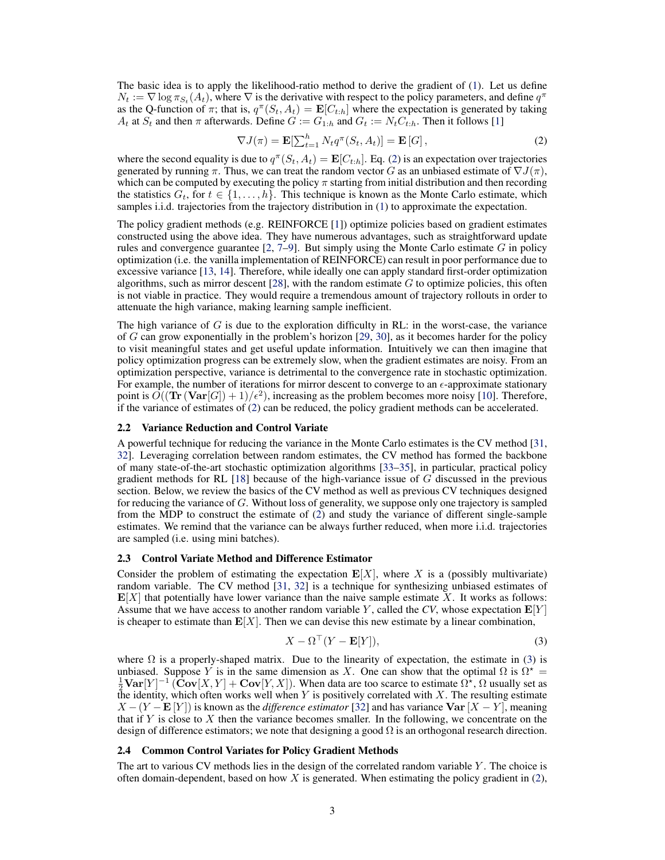<span id="page-2-0"></span>The basic idea is to apply the likelihood-ratio method to derive the gradient of [\(1\)](#page-1-0). Let us define  $N_t := \nabla \log \pi_{S_t}(A_t)$ , where  $\nabla$  is the derivative with respect to the policy parameters, and define  $q^{\pi}$ as the Q-function of  $\pi$ ; that is,  $q^{\pi}(S_t, A_t) = \mathbf{E}[C_{t:h}]$  where the expectation is generated by taking  $A_t$  at  $S_t$  and then  $\pi$  afterwards. Define  $G := G_{1,h}$  and  $G_t := N_t C_{t,h}$ . Then it follows [\[1\]](#page-8-0)

$$
\nabla J(\pi) = \mathbf{E}[\sum_{t=1}^{h} N_t q^{\pi}(S_t, A_t)] = \mathbf{E}[G],
$$
\n(2)

where the second equality is due to  $q^{\pi}(S_t, A_t) = \mathbf{E}[C_{t:h}]$ . Eq. (2) is an expectation over trajectories generated by running  $\pi$ . Thus, we can treat the random vector G as an unbiased estimate of  $\nabla J(\pi)$ , which can be computed by executing the policy  $\pi$  starting from initial distribution and then recording the statistics  $G_t$ , for  $t \in \{1, \ldots, h\}$ . This technique is known as the Monte Carlo estimate, which samples i.i.d. trajectories from the trajectory distribution in [\(1\)](#page-1-0) to approximate the expectation.

The policy gradient methods (e.g. REINFORCE [\[1\]](#page-8-0)) optimize policies based on gradient estimates constructed using the above idea. They have numerous advantages, such as straightforward update rules and convergence guarantee  $[2, 7-9]$  $[2, 7-9]$ . But simply using the Monte Carlo estimate G in policy optimization (i.e. the vanilla implementation of REINFORCE) can result in poor performance due to excessive variance [\[13,](#page-8-0) [14\]](#page-8-0). Therefore, while ideally one can apply standard first-order optimization algorithms, such as mirror descent [\[28\]](#page-9-0), with the random estimate  $G$  to optimize policies, this often is not viable in practice. They would require a tremendous amount of trajectory rollouts in order to attenuate the high variance, making learning sample inefficient.

The high variance of  $G$  is due to the exploration difficulty in RL: in the worst-case, the variance of G can grow exponentially in the problem's horizon  $[29, 30]$  $[29, 30]$  $[29, 30]$ , as it becomes harder for the policy to visit meaningful states and get useful update information. Intuitively we can then imagine that policy optimization progress can be extremely slow, when the gradient estimates are noisy. From an optimization perspective, variance is detrimental to the convergence rate in stochastic optimization. For example, the number of iterations for mirror descent to converge to an  $\epsilon$ -approximate stationary point is  $\tilde{O}((\text{Tr}(\text{Var}[G]) + 1)/\epsilon^2)$ , increasing as the problem becomes more noisy [\[10\]](#page-8-0). Therefore, if the variance of estimates of (2) can be reduced, the policy gradient methods can be accelerated.

### 2.2 Variance Reduction and Control Variate

A powerful technique for reducing the variance in the Monte Carlo estimates is the CV method [\[31,](#page-9-0) [32\]](#page-9-0). Leveraging correlation between random estimates, the CV method has formed the backbone of many state-of-the-art stochastic optimization algorithms [\[33–35\]](#page-9-0), in particular, practical policy gradient methods for RL [\[18\]](#page-8-0) because of the high-variance issue of G discussed in the previous section. Below, we review the basics of the CV method as well as previous CV techniques designed for reducing the variance of G. Without loss of generality, we suppose only one trajectory is sampled from the MDP to construct the estimate of (2) and study the variance of different single-sample estimates. We remind that the variance can be always further reduced, when more i.i.d. trajectories are sampled (i.e. using mini batches).

#### 2.3 Control Variate Method and Difference Estimator

Consider the problem of estimating the expectation  $E[X]$ , where X is a (possibly multivariate) random variable. The CV method [\[31,](#page-9-0) [32\]](#page-9-0) is a technique for synthesizing unbiased estimates of  $\mathbf{E}[X]$  that potentially have lower variance than the naive sample estimate X. It works as follows: Assume that we have access to another random variable Y, called the  $CV$ , whose expectation  $\mathbf{E}[Y]$ is cheaper to estimate than  $E[X]$ . Then we can devise this new estimate by a linear combination,

$$
X - \Omega^{\top} (Y - \mathbf{E}[Y]), \tag{3}
$$

where  $\Omega$  is a properly-shaped matrix. Due to the linearity of expectation, the estimate in (3) is unbiased. Suppose Y is in the same dimension as X. One can show that the optimal  $\Omega$  is  $\Omega^*$  =  $\frac{1}{2}$ Var $[Y]^{-1}$  (Cov $[X, Y]$  + Cov $[Y, X]$ ). When data are too scarce to estimate  $\Omega^*$ ,  $\Omega$  usually set as the identity, which often works well when Y is positively correlated with X. The resulting estimate  $X - (Y - E[Y])$  is known as the *difference estimator* [\[32\]](#page-9-0) and has variance  $Var[X - Y]$ , meaning that if Y is close to X then the variance becomes smaller. In the following, we concentrate on the design of difference estimators; we note that designing a good  $\Omega$  is an orthogonal research direction.

### 2.4 Common Control Variates for Policy Gradient Methods

The art to various CV methods lies in the design of the correlated random variable  $Y$ . The choice is often domain-dependent, based on how  $X$  is generated. When estimating the policy gradient in  $(2)$ ,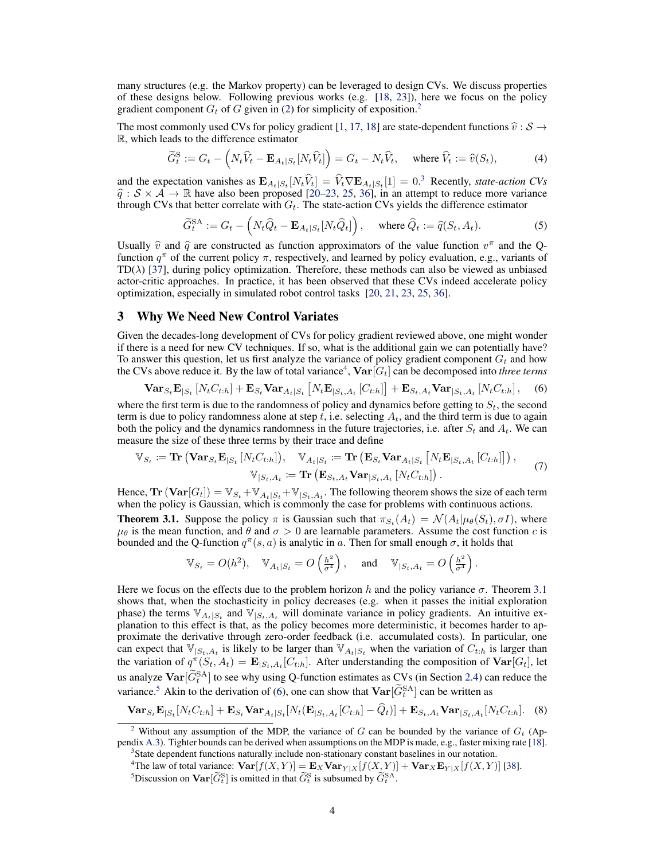<span id="page-3-0"></span>many structures (e.g. the Markov property) can be leveraged to design CVs. We discuss properties of these designs below. Following previous works (e.g.  $[18, 23]$  $[18, 23]$  $[18, 23]$ ), here we focus on the policy gradient component  $G_t$  of G given in [\(2\)](#page-2-0) for simplicity of exposition.<sup>2</sup>

The most commonly used CVs for policy gradient [\[1,](#page-8-0) [17,](#page-8-0) [18\]](#page-8-0) are state-dependent functions  $\hat{v} : S \to$ R, which leads to the difference estimator

$$
\widetilde{G}_t^{\rm S} := G_t - \left( N_t \widehat{V}_t - \mathbf{E}_{A_t | S_t} [N_t \widehat{V}_t] \right) = G_t - N_t \widehat{V}_t, \quad \text{where } \widehat{V}_t := \widehat{v}(S_t), \tag{4}
$$

and the expectation vanishes as  $\mathbf{E}_{A_t|S_t}[N_t\hat{V}_t] = \hat{V}_t \nabla \mathbf{E}_{A_t|S_t}[1] = 0.3$  Recently, *state-action CVs*  $\hat{q}$  :  $S \times \hat{A} \rightarrow \mathbb{R}$  have also been proposed [\[20–](#page-8-0)[23,](#page-9-0) [25,](#page-9-0) [36\]](#page-9-0), in an attempt to reduce more variance through CVs that better correlate with  $G_t$ . The state-action CVs yields the difference estimator

$$
\widetilde{G}_t^{\text{SA}} := G_t - \left( N_t \widehat{Q}_t - \mathbf{E}_{A_t|S_t}[N_t \widehat{Q}_t] \right), \quad \text{where } \widehat{Q}_t := \widehat{q}(S_t, A_t). \tag{5}
$$

Usually  $\hat{v}$  and  $\hat{q}$  are constructed as function approximators of the value function  $v^{\pi}$  and the Q-<br>function  $a^{\pi}$  of the current policy  $\pi$  respectively and learned by policy evaluation e.g. variants of function  $q^{\pi}$  of the current policy  $\pi$ , respectively, and learned by policy evaluation, e.g., variants of  $TD(\lambda)$  [\[37\]](#page-9-0), during policy optimization. Therefore, these methods can also be viewed as unbiased actor-critic approaches. In practice, it has been observed that these CVs indeed accelerate policy optimization, especially in simulated robot control tasks [\[20,](#page-8-0) [21,](#page-8-0) [23,](#page-9-0) [25,](#page-9-0) [36\]](#page-9-0).

# 3 Why We Need New Control Variates

Given the decades-long development of CVs for policy gradient reviewed above, one might wonder if there is a need for new CV techniques. If so, what is the additional gain we can potentially have? To answer this question, let us first analyze the variance of policy gradient component  $G_t$  and how the CVs above reduce it. By the law of total variance<sup>4</sup>,  $\text{Var}[\overline{G_t}]$  can be decomposed into *three terms* 

$$
\text{Var}_{S_t} \mathbf{E}_{|S_t} \left[ N_t C_{t:h} \right] + \mathbf{E}_{S_t} \text{Var}_{A_t|S_t} \left[ N_t \mathbf{E}_{|S_t, A_t} \left[ C_{t:h} \right] \right] + \mathbf{E}_{S_t, A_t} \text{Var}_{|S_t, A_t} \left[ N_t C_{t:h} \right], \quad (6)
$$

where the first term is due to the randomness of policy and dynamics before getting to  $S_t$ , the second term is due to policy randomness alone at step t, i.e. selecting  $A_t$ , and the third term is due to again both the policy and the dynamics randomness in the future trajectories, i.e. after  $S_t$  and  $A_t$ . We can measure the size of these three terms by their trace and define

$$
\mathbb{V}_{S_t} \coloneqq \mathbf{Tr} \left( \mathbf{Var}_{S_t} \mathbf{E}_{|S_t} \left[ N_t C_{t:h} \right] \right), \quad \mathbb{V}_{A_t|S_t} \coloneqq \mathbf{Tr} \left( \mathbf{E}_{S_t} \mathbf{Var}_{A_t|S_t} \left[ N_t \mathbf{E}_{|S_t, A_t} \left[ C_{t:h} \right] \right] \right),
$$
  

$$
\mathbb{V}_{|S_t, A_t} \coloneqq \mathbf{Tr} \left( \mathbf{E}_{S_t, A_t} \mathbf{Var}_{|S_t, A_t} \left[ N_t C_{t:h} \right] \right).
$$
 (7)

Hence,  $\text{Tr}(\textbf{Var}[G_t]) = \mathbb{V}_{S_t} + \mathbb{V}_{A_t|S_t} + \mathbb{V}_{|S_t,A_t}$ . The following theorem shows the size of each term when the policy is Gaussian, which is commonly the case for problems with continuous actions.

**Theorem 3.1.** Suppose the policy  $\pi$  is Gaussian such that  $\pi_{S_t}(A_t) = \mathcal{N}(A_t | \mu_\theta(S_t), \sigma I)$ , where  $\mu_{\theta}$  is the mean function, and  $\theta$  and  $\sigma > 0$  are learnable parameters. Assume the cost function c is bounded and the Q-function  $q^{\pi}(s, a)$  is analytic in a. Then for small enough  $\sigma$ , it holds that

$$
\mathbb{V}_{S_t} = O(h^2), \quad \mathbb{V}_{A_t|S_t} = O\left(\frac{h^2}{\sigma^4}\right), \quad \text{and} \quad \mathbb{V}_{|S_t, A_t} = O\left(\frac{h^2}{\sigma^4}\right).
$$

Here we focus on the effects due to the problem horizon h and the policy variance  $\sigma$ . Theorem 3.1 shows that, when the stochasticity in policy decreases (e.g. when it passes the initial exploration phase) the terms  $\mathbb{V}_{A_t|S_t}$  and  $\mathbb{V}_{|S_t,A_t}$  will dominate variance in policy gradients. An intuitive explanation to this effect is that, as the policy becomes more deterministic, it becomes harder to approximate the derivative through zero-order feedback (i.e. accumulated costs). In particular, one can expect that  $\mathbb{V}_{|S_t,A_t}$  is likely to be larger than  $\mathbb{V}_{A_t|S_t}$  when the variation of  $C_{t:h}$  is larger than the variation of  $q^{\pi}(S_t, A_t) = \mathbf{E}_{|S_t, A_t}[C_{t:h}]$ . After understanding the composition of  $\text{Var}[G_t]$ , let us analyze  $\text{Var}[\widetilde{G}_t^{\text{SA}}]$  to see why using Q-function estimates as CVs (in Section [2.4\)](#page-2-0) can reduce the variance.<sup>5</sup> Akin to the derivation of (6), one can show that  $\text{Var}[\tilde{G}_t^{\text{SA}}]$  can be written as

$$
\mathbf{Var}_{S_t} \mathbf{E}_{|S_t}[N_t C_{t:h}] + \mathbf{E}_{S_t} \mathbf{Var}_{A_t|S_t}[N_t(\mathbf{E}_{|S_t, A_t}[C_{t:h}] - \widehat{Q}_t)] + \mathbf{E}_{S_t, A_t} \mathbf{Var}_{|S_t, A_t}[N_t C_{t:h}].
$$
 (8)

<sup>&</sup>lt;sup>2</sup> Without any assumption of the MDP, the variance of G can be bounded by the variance of  $G_t$  (Appendix [A.3\)](#page-12-0). Tighter bounds can be derived when assumptions on the MDP is made, e.g., faster mixing rate [\[18\]](#page-8-0).

<sup>&</sup>lt;sup>3</sup> State dependent functions naturally include non-stationary constant baselines in our notation.

<sup>&</sup>lt;sup>4</sup>The law of total variance:  $\text{Var}[f(X, Y)] = \mathbf{E}_X \text{Var}_{Y|X}[f(X, Y)] + \text{Var}_X \mathbf{E}_{Y|X}[f(X, Y)]$  [\[38\]](#page-9-0).

<sup>&</sup>lt;sup>5</sup>Discussion on  $\text{Var}[\widetilde{G}_t^S]$  is omitted in that  $\widetilde{G}_t^S$  is subsumed by  $\widetilde{G}_t^{SA}$ .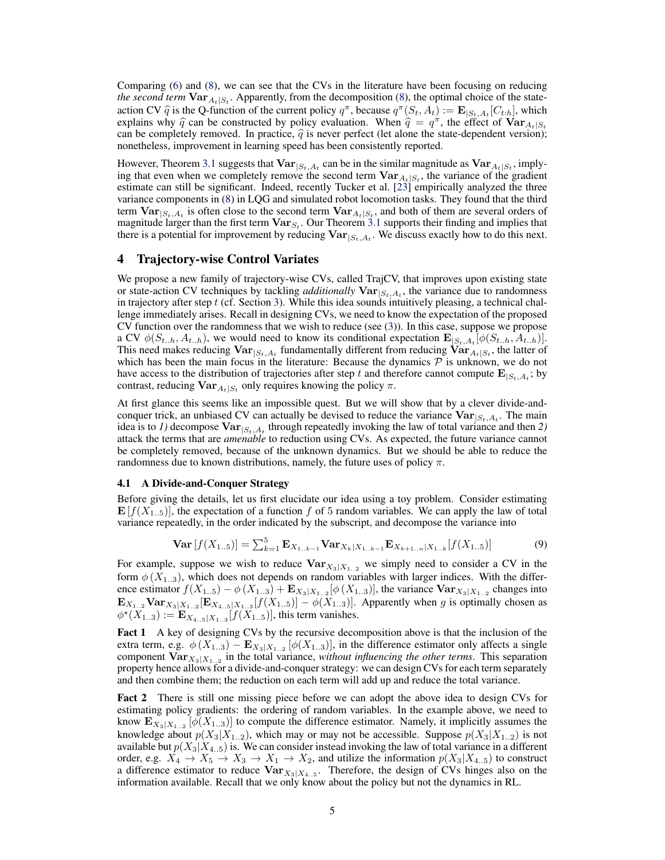<span id="page-4-0"></span>Comparing [\(6\)](#page-3-0) and [\(8\)](#page-3-0), we can see that the CVs in the literature have been focusing on reducing *the second term*  $\text{Var}_{A_t|S_t}$ . Apparently, from the decomposition [\(8\)](#page-3-0), the optimal choice of the stateaction CV  $\hat{q}$  is the Q-function of the current policy  $q^{\pi}$ , because  $q^{\pi}(S_t, A_t) := \mathbf{E}_{|S_t, A_t}[C_{t:h}]$ , which<br>explains why  $\hat{q}$  can be constructed by policy evaluation. When  $\hat{q} = q^{\pi}$  the effect of Var the explains why  $\hat{q}$  can be constructed by policy evaluation. When  $\hat{q} = q^{\pi}$ , the effect of  $Var_{A_t|S_t}$ can be completely removed. In practice,  $\hat{q}$  is never perfect (let alone the state-dependent version); nonetheless, improvement in learning speed has been consistently reported.

However, Theorem [3.1](#page-3-0) suggests that  $Var_{|S_t, A_t|}$  can be in the similar magnitude as  $Var_{A_t|S_t}$ , implying that even when we completely remove the second term  $\text{Var}_{A_t|S_t}$ , the variance of the gradient estimate can still be significant. Indeed, recently Tucker et al. [\[23\]](#page-9-0) empirically analyzed the three variance components in [\(8\)](#page-3-0) in LQG and simulated robot locomotion tasks. They found that the third term  $\text{Var}_{|S_t, A_t}$  is often close to the second term  $\text{Var}_{A_t|S_t}$ , and both of them are several orders of magnitude larger than the first term  $\text{Var}_{S_t}$ . Our Theorem [3.1](#page-3-0) supports their finding and implies that there is a potential for improvement by reducing  $Var_{|S_t, A_t}$ . We discuss exactly how to do this next.

## 4 Trajectory-wise Control Variates

We propose a new family of trajectory-wise CVs, called TrajCV, that improves upon existing state or state-action CV techniques by tackling *additionally*  $Var_{|S_t, A_t}$ , the variance due to randomness in trajectory after step  $t$  (cf. Section [3\)](#page-3-0). While this idea sounds intuitively pleasing, a technical challenge immediately arises. Recall in designing CVs, we need to know the expectation of the proposed CV function over the randomness that we wish to reduce (see  $(3)$ ). In this case, suppose we propose a CV  $\phi(S_{t..h}, A_{t..h})$ , we would need to know its conditional expectation  $\mathbf{E}_{|S_t, A_t}[\phi(S_{t..h}, A_{t..h})]$ . This need makes reducing  $Var_{|S_t, A_t}$  fundamentally different from reducing  $Var_{A_t|S_t}$ , the latter of which has been the main focus in the literature: Because the dynamics  $P$  is unknown, we do not have access to the distribution of trajectories after step t and therefore cannot compute  $\mathbf{E}_{|S_t,A_t}$ ; by contrast, reducing  $\textbf{Var}_{A_t|S_t}$  only requires knowing the policy  $\pi$ .

At first glance this seems like an impossible quest. But we will show that by a clever divide-andconquer trick, an unbiased CV can actually be devised to reduce the variance  $Var_{|S_t, A_t}$ . The main idea is to *1*) decompose  $Var_{|S_t, A_t}$  through repeatedly invoking the law of total variance and then 2) attack the terms that are *amenable* to reduction using CVs. As expected, the future variance cannot be completely removed, because of the unknown dynamics. But we should be able to reduce the randomness due to known distributions, namely, the future uses of policy  $\pi$ .

## 4.1 A Divide-and-Conquer Strategy

Before giving the details, let us first elucidate our idea using a toy problem. Consider estimating  $\mathbf{E}[f(X_{1..5})]$ , the expectation of a function f of 5 random variables. We can apply the law of total variance repeatedly, in the order indicated by the subscript, and decompose the variance into

$$
\mathbf{Var}\left[f(X_{1..5})\right] = \sum_{k=1}^{5} \mathbf{E}_{X_{1..k-1}} \mathbf{Var}_{X_k|X_{1..k-1}} \mathbf{E}_{X_{k+1..n}|X_{1..k}}[f(X_{1..5})] \tag{9}
$$

For example, suppose we wish to reduce  $\text{Var}_{X_3|X_{1..2}}$  we simply need to consider a CV in the form  $\phi(X_{1..3})$ , which does not depends on random variables with larger indices. With the difference estimator  $f(X_{1..5}) - \phi(X_{1..3}) + \mathbf{E}_{X_3|X_{1..2}}[\phi(X_{1..3})]$ , the variance  $\mathbf{Var}_{X_3|X_{1..2}}$  changes into  ${\bf E}_{X_{1..2}}{\bf Var}_{X_3|X_{1..2}}[{\bf E}_{X_{4..5}|X_{1..3}}[f(X_{1..5})] - \phi(X_{1..3})]$ . Apparently when g is optimally chosen as  $\phi^*(X_{1..3}) := \mathbf{E}_{X_{4..5}|X_{1..3}}[f(X_{1..5})]$ , this term vanishes.

Fact 1 A key of designing CVs by the recursive decomposition above is that the inclusion of the extra term, e.g.  $\phi(X_{1..3}) - \mathbf{E}_{X_3|X_{1..2}}[\phi(X_{1..3})]$ , in the difference estimator only affects a single component  $\text{Var}_{X_3|X_{1..2}}$  in the total variance, *without influencing the other terms*. This separation property hence allows for a divide-and-conquer strategy: we can design CVs for each term separately and then combine them; the reduction on each term will add up and reduce the total variance.

Fact 2 There is still one missing piece before we can adopt the above idea to design CVs for estimating policy gradients: the ordering of random variables. In the example above, we need to know  $\mathbf{E}_{X_3|X_{1..2}}\left[\phi(X_{1..3})\right]$  to compute the difference estimator. Namely, it implicitly assumes the knowledge about  $p(X_3|X_{1..2})$ , which may or may not be accessible. Suppose  $p(X_3|X_{1..2})$  is not available but  $p(X_3|X_{4.5})$  is. We can consider instead invoking the law of total variance in a different order, e.g.  $X_4 \to X_5 \to X_3 \to X_1 \to X_2$ , and utilize the information  $p(X_3|X_{4..5})$  to construct a difference estimator to reduce  $\text{Var}_{X_3|X_{4..5}}$ . Therefore, the design of CVs hinges also on the information available. Recall that we only know about the policy but not the dynamics in RL.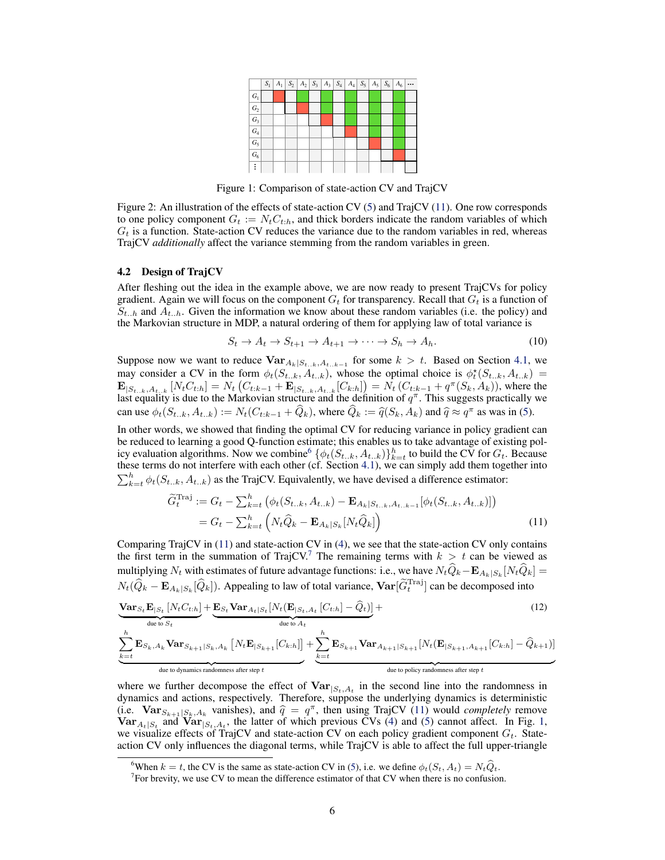|                  |  |  |  |  |  | $S_1$ $A_1$ $S_2$ $A_2$ $S_3$ $A_3$ $S_4$ $A_4$ $S_5$ $A_5$ $S_6$ $A_6$ |  |
|------------------|--|--|--|--|--|-------------------------------------------------------------------------|--|
| $G_1$            |  |  |  |  |  |                                                                         |  |
| $G_2$            |  |  |  |  |  |                                                                         |  |
| $G_3$            |  |  |  |  |  |                                                                         |  |
| $\overline{G_4}$ |  |  |  |  |  |                                                                         |  |
| $G_5$            |  |  |  |  |  |                                                                         |  |
| $G_6$            |  |  |  |  |  |                                                                         |  |
|                  |  |  |  |  |  |                                                                         |  |

Figure 1: Comparison of state-action CV and TrajCV

<span id="page-5-0"></span>Figure 2: An illustration of the effects of state-action CV [\(5\)](#page-3-0) and TrajCV (11). One row corresponds to one policy component  $G_t := N_t C_{t:h}$ , and thick borders indicate the random variables of which  $G_t$  is a function. State-action CV reduces the variance due to the random variables in red, whereas TrajCV *additionally* affect the variance stemming from the random variables in green.

#### 4.2 Design of TrajCV

After fleshing out the idea in the example above, we are now ready to present TrajCVs for policy gradient. Again we will focus on the component  $G_t$  for transparency. Recall that  $G_t$  is a function of  $S_{t-h}$  and  $A_{t-h}$ . Given the information we know about these random variables (i.e. the policy) and the Markovian structure in MDP, a natural ordering of them for applying law of total variance is

$$
S_t \to A_t \to S_{t+1} \to A_{t+1} \to \cdots \to S_h \to A_h. \tag{10}
$$

Suppose now we want to reduce  $\text{Var}_{A_k|S_{t..k},A_{t..k-1}}$  for some  $k > t$ . Based on Section [4.1,](#page-4-0) we may consider a CV in the form  $\phi_t(S_{t..k}, A_{t..k})$ , whose the optimal choice is  $\phi_t^*(S_{t..k}, A_{t..k})$  $\mathbf{E}_{|S_{t..k},A_{t..k}}\left[N_tC_{t:h}\right] = N_t\left(C_{t:k-1} + \mathbf{E}_{|S_{t..k},A_{t..k}}[C_{k:h}]\right) = N_t\left(C_{t:k-1} + q^{\pi}(S_k, A_k)\right)$ , where the last equality is due to the Markovian structure and the definition of  $q^{\pi}$ . This suggests practically we can use  $\phi_t(S_{t..k}, A_{t..k}) := N_t(C_{t:k-1} + \widehat{Q}_k)$ , where  $\widehat{Q}_k := \widehat{q}(S_k, A_k)$  and  $\widehat{q} \approx q^{\pi}$  as was in [\(5\)](#page-3-0).

In other words, we showed that finding the optimal CV for reducing variance in policy gradient can be reduced to learning a good Q-function estimate; this enables us to take advantage of existing policy evaluation algorithms. Now we combine  $\{\phi_t(S_{t..k}, A_{t..k})\}_{k=t}^h$  to build the CV for  $G_t$ . Because these terms do not interfere with each other (cf. Section [4.1\)](#page-4-0), we can simply add them together into  $\sum_{k=t}^{h} \phi_t(S_{t..k}, A_{t..k})$  as the TrajCV. Equivalently, we have devised a difference estimator:

$$
\widetilde{G}_t^{\text{Traj}} := G_t - \sum_{k=t}^h \left( \phi_t(S_{t..k}, A_{t..k}) - \mathbf{E}_{A_k|S_{t..k}, A_{t..k-1}}[\phi_t(S_{t..k}, A_{t..k})] \right)
$$
\n
$$
= G_t - \sum_{k=t}^h \left( N_t \widehat{Q}_k - \mathbf{E}_{A_k|S_k}[N_t \widehat{Q}_k] \right)
$$
\n(11)

Comparing TrajCV in  $(11)$  and state-action CV in  $(4)$ , we see that the state-action CV only contains the first term in the summation of TrajCV.<sup>7</sup> The remaining terms with  $k > t$  can be viewed as multiplying  $N_t$  with estimates of future advantage functions: i.e., we have  $N_tQ_k - \mathbf{E}_{A_k|S_k}[N_tQ_k] =$  $N_t(\widehat{Q}_k - \mathbf{E}_{A_k|S_k}[\widehat{Q}_k])$ . Appealing to law of total variance,  $\mathbf{Var}[\widetilde{G}_t^{\text{Traj}}]$  can be decomposed into

$$
\underbrace{\mathbf{Var}_{S_t} \mathbf{E}_{|S_t} \left[ N_t C_{t:h} \right]}_{\text{due to } S_t} + \underbrace{\mathbf{E}_{S_t} \mathbf{Var}_{A_t |S_t} \left[ N_t (\mathbf{E}_{|S_t, A_t} \left[ C_{t:h} \right] - \widehat{Q}_t) \right]}_{\text{due to } A_t} +
$$
\n(12)

$$
\underbrace{\sum_{k=t}^{h} \mathbf{E}_{S_k,A_k} \mathbf{Var}_{S_{k+1}|S_k,A_k} \left[N_t\mathbf{E}_{|S_{k+1}}[C_{k:h}]\right]}_{\text{due to dynamics randomness after step } t} + \underbrace{\sum_{k=t}^{h} \mathbf{E}_{S_{k+1}} \mathbf{Var}_{A_{k+1}|S_{k+1}}[N_t(\mathbf{E}_{|S_{k+1},A_{k+1}}[C_{k:h}] - \widehat{Q}_{k+1})]}_{\text{due to policy randomness after step } t}
$$

where we further decompose the effect of  $Var_{|S_t, A_t}$  in the second line into the randomness in dynamics and actions, respectively. Therefore, suppose the underlying dynamics is deterministic (i.e.  $\text{Var}_{S_{k+1}|S_k, A_k}$  vanishes), and  $\hat{q} = q^{\pi}$ , then using TrajCV (11) would *completely* remove<br>Var the and  $\text{Var}_{S_{k+1}}$  the latter of which previous CVs (4) and (5) cannot affect. In Fig. 1  $\text{Var}_{A_t|S_t}$  and  $\text{Var}_{|S_t, A_t}$ , the latter of which previous CVs [\(4\)](#page-3-0) and [\(5\)](#page-3-0) cannot affect. In Fig. 1, we visualize effects of TrajCV and state-action CV on each policy gradient component  $G_t$ . Stateaction CV only influences the diagonal terms, while TrajCV is able to affect the full upper-triangle

<sup>&</sup>lt;sup>6</sup>When k = t, the CV is the same as state-action CV in [\(5\)](#page-3-0), i.e. we define  $\phi_t(S_t, A_t) = N_t \hat{Q}_t$ .

<sup>&</sup>lt;sup>7</sup> For brevity, we use CV to mean the difference estimator of that CV when there is no confusion.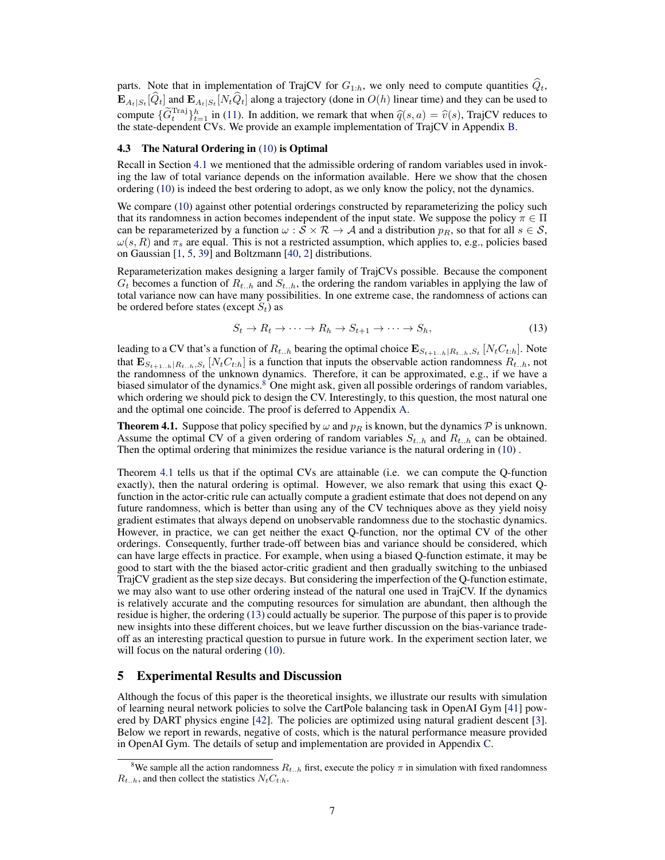<span id="page-6-0"></span>parts. Note that in implementation of TrajCV for  $G_{1:h}$ , we only need to compute quantities  $\hat{Q}_t$ ,  $\mathbf{E}_{A_t|S_t}[Q_t]$  and  $\mathbf{E}_{A_t|S_t}[N_tQ_t]$  along a trajectory (done in  $O(h)$  linear time) and they can be used to compute  $\{ \widetilde{G}_t^{\text{Traj}} \}_{t=1}^h$  in [\(11\)](#page-5-0). In addition, we remark that when  $\widehat{q}(s, a) = \widehat{v}(s)$ , TrajCV reduces to the state-dependent CVs. We provide an example implementation of TrajCV in Appendix [B.](#page-12-0)

## 4.3 The Natural Ordering in [\(10\)](#page-5-0) is Optimal

Recall in Section [4.1](#page-4-0) we mentioned that the admissible ordering of random variables used in invoking the law of total variance depends on the information available. Here we show that the chosen ordering [\(10\)](#page-5-0) is indeed the best ordering to adopt, as we only know the policy, not the dynamics.

We compare [\(10\)](#page-5-0) against other potential orderings constructed by reparameterizing the policy such that its randomness in action becomes independent of the input state. We suppose the policy  $\pi \in \Pi$ can be reparameterized by a function  $\omega : \mathcal{S} \times \mathcal{R} \to \mathcal{A}$  and a distribution  $p_R$ , so that for all  $s \in \mathcal{S}$ ,  $\omega(s, R)$  and  $\pi_s$  are equal. This is not a restricted assumption, which applies to, e.g., policies based on Gaussian [\[1,](#page-8-0) [5,](#page-8-0) [39\]](#page-9-0) and Boltzmann [\[40,](#page-9-0) [2\]](#page-8-0) distributions.

Reparameterization makes designing a larger family of TrajCVs possible. Because the component  $G_t$  becomes a function of  $R_{t..h}$  and  $S_{t..h}$ , the ordering the random variables in applying the law of total variance now can have many possibilities. In one extreme case, the randomness of actions can be ordered before states (except  $S_t$ ) as

$$
S_t \to R_t \to \cdots \to R_h \to S_{t+1} \to \cdots \to S_h,\tag{13}
$$

leading to a CV that's a function of  $R_{t..h}$  bearing the optimal choice  $\mathbf{E}_{S_{t+1..h}|R_{t..h},S_t}\left[N_tC_{t:h}\right]$ . Note that  $\mathbf{E}_{S_{t+1...h}|R_{t...h},S_t}[N_tC_{t:h}]$  is a function that inputs the observable action randomness  $R_{t...h}$ , not the randomness of the unknown dynamics. Therefore, it can be approximated, e.g., if we have a biased simulator of the dynamics.<sup>8</sup> One might ask, given all possible orderings of random variables, which ordering we should pick to design the CV. Interestingly, to this question, the most natural one and the optimal one coincide. The proof is deferred to Appendix [A.](#page-10-0)

**Theorem 4.1.** Suppose that policy specified by  $\omega$  and  $p_R$  is known, but the dynamics  $\mathcal{P}$  is unknown. Assume the optimal CV of a given ordering of random variables  $S_{t-h}$  and  $R_{t-h}$  can be obtained. Then the optimal ordering that minimizes the residue variance is the natural ordering in [\(10\)](#page-5-0) .

Theorem 4.1 tells us that if the optimal CVs are attainable (i.e. we can compute the Q-function exactly), then the natural ordering is optimal. However, we also remark that using this exact Qfunction in the actor-critic rule can actually compute a gradient estimate that does not depend on any future randomness, which is better than using any of the CV techniques above as they yield noisy gradient estimates that always depend on unobservable randomness due to the stochastic dynamics. However, in practice, we can get neither the exact Q-function, nor the optimal CV of the other orderings. Consequently, further trade-off between bias and variance should be considered, which can have large effects in practice. For example, when using a biased Q-function estimate, it may be good to start with the the biased actor-critic gradient and then gradually switching to the unbiased TrajCV gradient as the step size decays. But considering the imperfection of the Q-function estimate, we may also want to use other ordering instead of the natural one used in TrajCV. If the dynamics is relatively accurate and the computing resources for simulation are abundant, then although the residue is higher, the ordering (13) could actually be superior. The purpose of this paper is to provide new insights into these different choices, but we leave further discussion on the bias-variance tradeoff as an interesting practical question to pursue in future work. In the experiment section later, we will focus on the natural ordering  $(10)$ .

## 5 Experimental Results and Discussion

Although the focus of this paper is the theoretical insights, we illustrate our results with simulation of learning neural network policies to solve the CartPole balancing task in OpenAI Gym [\[41\]](#page-9-0) powered by DART physics engine [\[42\]](#page-9-0). The policies are optimized using natural gradient descent [\[3\]](#page-8-0). Below we report in rewards, negative of costs, which is the natural performance measure provided in OpenAI Gym. The details of setup and implementation are provided in Appendix [C.](#page-13-0)

<sup>&</sup>lt;sup>8</sup>We sample all the action randomness  $R_{t..h}$  first, execute the policy  $\pi$  in simulation with fixed randomness  $R_{t..h}$ , and then collect the statistics  $N_tC_{t:h}$ .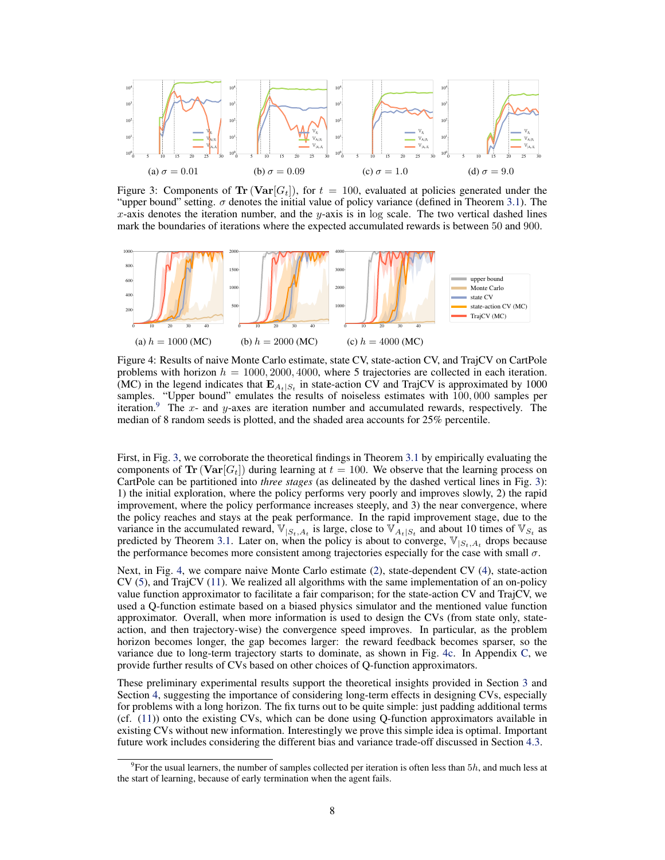<span id="page-7-0"></span>

Figure 3: Components of  $\text{Tr} (\text{Var}[G_t])$ , for  $t = 100$ , evaluated at policies generated under the "upper bound" setting.  $\sigma$  denotes the initial value of policy variance (defined in Theorem [3.1\)](#page-3-0). The  $x$ -axis denotes the iteration number, and the y-axis is in log scale. The two vertical dashed lines mark the boundaries of iterations where the expected accumulated rewards is between 50 and 900.



(MC) in the legend indicates that  $\mathbf{E}_{A_t|S_t}$  in state-action CV and TrajCV is approximated by 1000 problems with horizon  $h = 1000, 2000, 4000$ , where 5 trajectories are collected in each iteration. Figure 4: Results of naive Monte Carlo estimate, state CV, state-action CV, and TrajCV on CartPole samples. "Upper bound" emulates the results of noiseless estimates with  $100,000$  samples per iteration.<sup>9</sup> The x- and y-axes are iteration number and accumulated rewards, respectively. The median of 8 random seeds is plotted, and the shaded area accounts for 25% percentile.

First, in Fig. 3, we corroborate the theoretical findings in Theorem [3.1](#page-3-0) by empirically evaluating the components of  $\text{Tr} (\text{Var}[G_t])$  during learning at  $t = 100$ . We observe that the learning process on CartPole can be partitioned into *three stages* (as delineated by the dashed vertical lines in Fig. 3): 1) the initial exploration, where the policy performs very poorly and improves slowly, 2) the rapid improvement, where the policy performance increases steeply, and 3) the near convergence, where the policy reaches and stays at the peak performance. In the rapid improvement stage, due to the variance in the accumulated reward,  $\mathbb{V}_{|S_t,A_t}$  is large, close to  $\mathbb{V}_{A_t|S_t}$  and about 10 times of  $\mathbb{V}_{S_t}$  as predicted by Theorem [3.1.](#page-3-0) Later on, when the policy is about to converge,  $\mathbb{V}_{|S_t,A_t|}$  drops because the performance becomes more consistent among trajectories especially for the case with small  $\sigma$ .

Next, in Fig. 4, we compare naive Monte Carlo estimate [\(2\)](#page-2-0), state-dependent CV [\(4\)](#page-3-0), state-action CV [\(5\)](#page-3-0), and TrajCV [\(11\)](#page-5-0). We realized all algorithms with the same implementation of an on-policy value function approximator to facilitate a fair comparison; for the state-action CV and TrajCV, we used a Q-function estimate based on a biased physics simulator and the mentioned value function approximator. Overall, when more information is used to design the CVs (from state only, stateaction, and then trajectory-wise) the convergence speed improves. In particular, as the problem horizon becomes longer, the gap becomes larger: the reward feedback becomes sparser, so the variance due to long-term trajectory starts to dominate, as shown in Fig. 4c. In Appendix [C,](#page-13-0) we provide further results of CVs based on other choices of Q-function approximators.

These preliminary experimental results support the theoretical insights provided in Section [3](#page-3-0) and Section [4,](#page-4-0) suggesting the importance of considering long-term effects in designing CVs, especially for problems with a long horizon. The fix turns out to be quite simple: just padding additional terms (cf. [\(11\)](#page-5-0)) onto the existing CVs, which can be done using Q-function approximators available in existing CVs without new information. Interestingly we prove this simple idea is optimal. Important future work includes considering the different bias and variance trade-off discussed in Section [4.3.](#page-6-0)

 $9$ For the usual learners, the number of samples collected per iteration is often less than  $5h$ , and much less at the start of learning, because of early termination when the agent fails.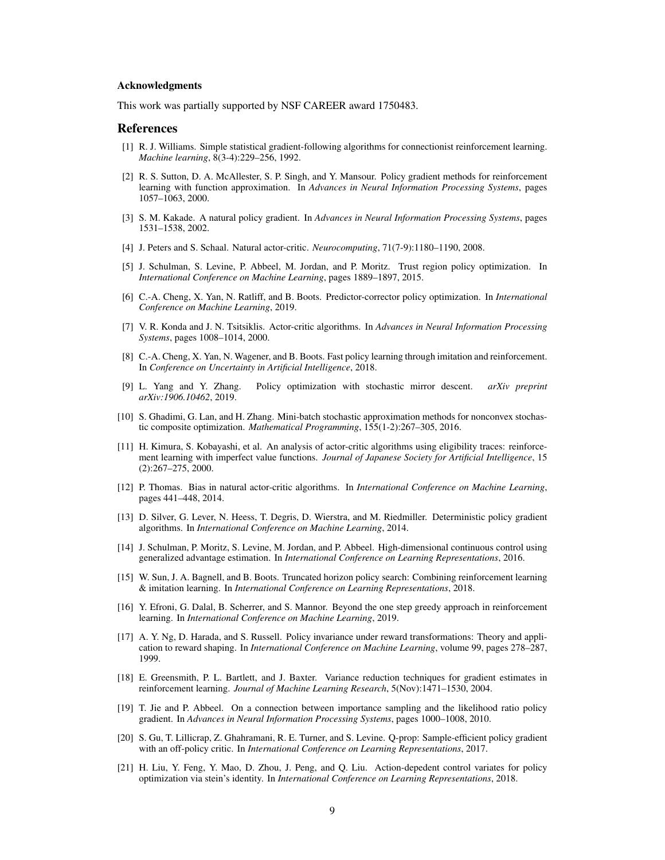#### <span id="page-8-0"></span>Acknowledgments

This work was partially supported by NSF CAREER award 1750483.

#### References

- [1] R. J. Williams. Simple statistical gradient-following algorithms for connectionist reinforcement learning. *Machine learning*, 8(3-4):229–256, 1992.
- [2] R. S. Sutton, D. A. McAllester, S. P. Singh, and Y. Mansour. Policy gradient methods for reinforcement learning with function approximation. In *Advances in Neural Information Processing Systems*, pages 1057–1063, 2000.
- [3] S. M. Kakade. A natural policy gradient. In *Advances in Neural Information Processing Systems*, pages 1531–1538, 2002.
- [4] J. Peters and S. Schaal. Natural actor-critic. *Neurocomputing*, 71(7-9):1180–1190, 2008.
- [5] J. Schulman, S. Levine, P. Abbeel, M. Jordan, and P. Moritz. Trust region policy optimization. In *International Conference on Machine Learning*, pages 1889–1897, 2015.
- [6] C.-A. Cheng, X. Yan, N. Ratliff, and B. Boots. Predictor-corrector policy optimization. In *International Conference on Machine Learning*, 2019.
- [7] V. R. Konda and J. N. Tsitsiklis. Actor-critic algorithms. In *Advances in Neural Information Processing Systems*, pages 1008–1014, 2000.
- [8] C.-A. Cheng, X. Yan, N. Wagener, and B. Boots. Fast policy learning through imitation and reinforcement. In *Conference on Uncertainty in Artificial Intelligence*, 2018.
- [9] L. Yang and Y. Zhang. Policy optimization with stochastic mirror descent. *arXiv preprint arXiv:1906.10462*, 2019.
- [10] S. Ghadimi, G. Lan, and H. Zhang. Mini-batch stochastic approximation methods for nonconvex stochastic composite optimization. *Mathematical Programming*, 155(1-2):267–305, 2016.
- [11] H. Kimura, S. Kobayashi, et al. An analysis of actor-critic algorithms using eligibility traces: reinforcement learning with imperfect value functions. *Journal of Japanese Society for Artificial Intelligence*, 15 (2):267–275, 2000.
- [12] P. Thomas. Bias in natural actor-critic algorithms. In *International Conference on Machine Learning*, pages 441–448, 2014.
- [13] D. Silver, G. Lever, N. Heess, T. Degris, D. Wierstra, and M. Riedmiller. Deterministic policy gradient algorithms. In *International Conference on Machine Learning*, 2014.
- [14] J. Schulman, P. Moritz, S. Levine, M. Jordan, and P. Abbeel. High-dimensional continuous control using generalized advantage estimation. In *International Conference on Learning Representations*, 2016.
- [15] W. Sun, J. A. Bagnell, and B. Boots. Truncated horizon policy search: Combining reinforcement learning & imitation learning. In *International Conference on Learning Representations*, 2018.
- [16] Y. Efroni, G. Dalal, B. Scherrer, and S. Mannor. Beyond the one step greedy approach in reinforcement learning. In *International Conference on Machine Learning*, 2019.
- [17] A. Y. Ng, D. Harada, and S. Russell. Policy invariance under reward transformations: Theory and application to reward shaping. In *International Conference on Machine Learning*, volume 99, pages 278–287, 1999.
- [18] E. Greensmith, P. L. Bartlett, and J. Baxter. Variance reduction techniques for gradient estimates in reinforcement learning. *Journal of Machine Learning Research*, 5(Nov):1471–1530, 2004.
- [19] T. Jie and P. Abbeel. On a connection between importance sampling and the likelihood ratio policy gradient. In *Advances in Neural Information Processing Systems*, pages 1000–1008, 2010.
- [20] S. Gu, T. Lillicrap, Z. Ghahramani, R. E. Turner, and S. Levine. Q-prop: Sample-efficient policy gradient with an off-policy critic. In *International Conference on Learning Representations*, 2017.
- [21] H. Liu, Y. Feng, Y. Mao, D. Zhou, J. Peng, and Q. Liu. Action-depedent control variates for policy optimization via stein's identity. In *International Conference on Learning Representations*, 2018.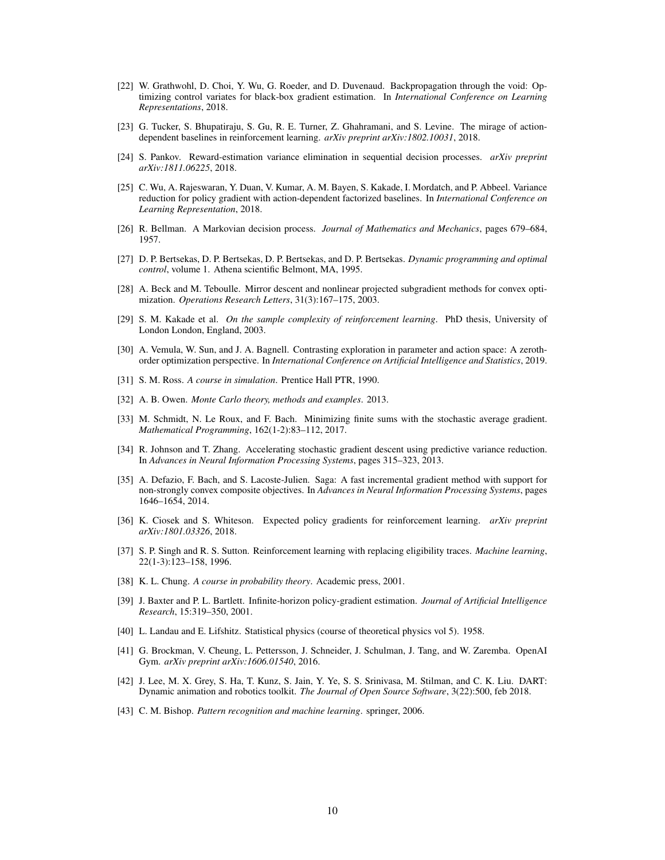- <span id="page-9-0"></span>[22] W. Grathwohl, D. Choi, Y. Wu, G. Roeder, and D. Duvenaud. Backpropagation through the void: Optimizing control variates for black-box gradient estimation. In *International Conference on Learning Representations*, 2018.
- [23] G. Tucker, S. Bhupatiraju, S. Gu, R. E. Turner, Z. Ghahramani, and S. Levine. The mirage of actiondependent baselines in reinforcement learning. *arXiv preprint arXiv:1802.10031*, 2018.
- [24] S. Pankov. Reward-estimation variance elimination in sequential decision processes. *arXiv preprint arXiv:1811.06225*, 2018.
- [25] C. Wu, A. Rajeswaran, Y. Duan, V. Kumar, A. M. Bayen, S. Kakade, I. Mordatch, and P. Abbeel. Variance reduction for policy gradient with action-dependent factorized baselines. In *International Conference on Learning Representation*, 2018.
- [26] R. Bellman. A Markovian decision process. *Journal of Mathematics and Mechanics*, pages 679–684, 1957.
- [27] D. P. Bertsekas, D. P. Bertsekas, D. P. Bertsekas, and D. P. Bertsekas. *Dynamic programming and optimal control*, volume 1. Athena scientific Belmont, MA, 1995.
- [28] A. Beck and M. Teboulle. Mirror descent and nonlinear projected subgradient methods for convex optimization. *Operations Research Letters*, 31(3):167–175, 2003.
- [29] S. M. Kakade et al. *On the sample complexity of reinforcement learning*. PhD thesis, University of London London, England, 2003.
- [30] A. Vemula, W. Sun, and J. A. Bagnell. Contrasting exploration in parameter and action space: A zerothorder optimization perspective. In *International Conference on Artificial Intelligence and Statistics*, 2019.
- [31] S. M. Ross. *A course in simulation*. Prentice Hall PTR, 1990.
- [32] A. B. Owen. *Monte Carlo theory, methods and examples*. 2013.
- [33] M. Schmidt, N. Le Roux, and F. Bach. Minimizing finite sums with the stochastic average gradient. *Mathematical Programming*, 162(1-2):83–112, 2017.
- [34] R. Johnson and T. Zhang. Accelerating stochastic gradient descent using predictive variance reduction. In *Advances in Neural Information Processing Systems*, pages 315–323, 2013.
- [35] A. Defazio, F. Bach, and S. Lacoste-Julien. Saga: A fast incremental gradient method with support for non-strongly convex composite objectives. In *Advances in Neural Information Processing Systems*, pages 1646–1654, 2014.
- [36] K. Ciosek and S. Whiteson. Expected policy gradients for reinforcement learning. *arXiv preprint arXiv:1801.03326*, 2018.
- [37] S. P. Singh and R. S. Sutton. Reinforcement learning with replacing eligibility traces. *Machine learning*, 22(1-3):123–158, 1996.
- [38] K. L. Chung. *A course in probability theory*. Academic press, 2001.
- [39] J. Baxter and P. L. Bartlett. Infinite-horizon policy-gradient estimation. *Journal of Artificial Intelligence Research*, 15:319–350, 2001.
- [40] L. Landau and E. Lifshitz. Statistical physics (course of theoretical physics vol 5). 1958.
- [41] G. Brockman, V. Cheung, L. Pettersson, J. Schneider, J. Schulman, J. Tang, and W. Zaremba. OpenAI Gym. *arXiv preprint arXiv:1606.01540*, 2016.
- [42] J. Lee, M. X. Grey, S. Ha, T. Kunz, S. Jain, Y. Ye, S. S. Srinivasa, M. Stilman, and C. K. Liu. DART: Dynamic animation and robotics toolkit. *The Journal of Open Source Software*, 3(22):500, feb 2018.
- [43] C. M. Bishop. *Pattern recognition and machine learning*. springer, 2006.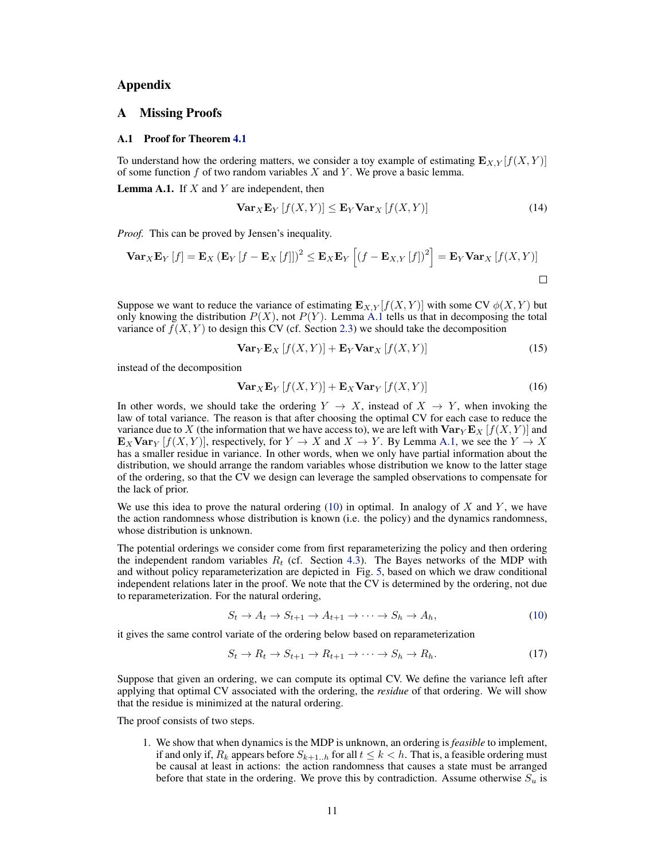# <span id="page-10-0"></span>Appendix

# A Missing Proofs

### A.1 Proof for Theorem [4.1](#page-6-0)

To understand how the ordering matters, we consider a toy example of estimating  $\mathbf{E}_{X,Y}[f(X, Y)]$ of some function  $f$  of two random variables  $X$  and  $Y$ . We prove a basic lemma.

**Lemma A.1.** If  $X$  and  $Y$  are independent, then

$$
\mathbf{Var}_X \mathbf{E}_Y \left[ f(X, Y) \right] \le \mathbf{E}_Y \mathbf{Var}_X \left[ f(X, Y) \right] \tag{14}
$$

*Proof.* This can be proved by Jensen's inequality.

$$
\mathbf{Var}_X \mathbf{E}_Y [f] = \mathbf{E}_X (\mathbf{E}_Y [f - \mathbf{E}_X [f]])^2 \le \mathbf{E}_X \mathbf{E}_Y [(f - \mathbf{E}_{X,Y} [f])^2] = \mathbf{E}_Y \mathbf{Var}_X [f(X, Y)]
$$

Suppose we want to reduce the variance of estimating  $\mathbf{E}_{X,Y}[f(X,Y)]$  with some CV  $\phi(X,Y)$  but only knowing the distribution  $P(X)$ , not  $P(Y)$ . Lemma A.1 tells us that in decomposing the total variance of  $f(X, Y)$  to design this CV (cf. Section [2.3\)](#page-2-0) we should take the decomposition

$$
\text{Var}_{Y} \mathbf{E}_{X} \left[ f(X, Y) \right] + \mathbf{E}_{Y} \text{Var}_{X} \left[ f(X, Y) \right] \tag{15}
$$

instead of the decomposition

$$
\mathbf{Var}_X \mathbf{E}_Y \left[ f(X, Y) \right] + \mathbf{E}_X \mathbf{Var}_Y \left[ f(X, Y) \right] \tag{16}
$$

In other words, we should take the ordering  $Y \to X$ , instead of  $X \to Y$ , when invoking the law of total variance. The reason is that after choosing the optimal CV for each case to reduce the variance due to X (the information that we have access to), we are left with  $\text{Var}_Y \mathbf{E}_X [f(X, Y)]$  and  $\mathbf{E}_X \mathbf{Var}_Y [f(X, Y)]$ , respectively, for  $Y \to X$  and  $X \to Y$ . By Lemma A.1, we see the  $Y \to X$ has a smaller residue in variance. In other words, when we only have partial information about the distribution, we should arrange the random variables whose distribution we know to the latter stage of the ordering, so that the CV we design can leverage the sampled observations to compensate for the lack of prior.

We use this idea to prove the natural ordering  $(10)$  in optimal. In analogy of X and Y, we have the action randomness whose distribution is known (i.e. the policy) and the dynamics randomness, whose distribution is unknown.

The potential orderings we consider come from first reparameterizing the policy and then ordering the independent random variables  $R_t$  (cf. Section [4.3\)](#page-6-0). The Bayes networks of the MDP with and without policy reparameterization are depicted in Fig. [5,](#page-11-0) based on which we draw conditional independent relations later in the proof. We note that the CV is determined by the ordering, not due to reparameterization. For the natural ordering,

$$
S_t \to A_t \to S_{t+1} \to A_{t+1} \to \cdots \to S_h \to A_h,\tag{10}
$$

it gives the same control variate of the ordering below based on reparameterization

$$
S_t \to R_t \to S_{t+1} \to R_{t+1} \to \cdots \to S_h \to R_h. \tag{17}
$$

Suppose that given an ordering, we can compute its optimal CV. We define the variance left after applying that optimal CV associated with the ordering, the *residue* of that ordering. We will show that the residue is minimized at the natural ordering.

The proof consists of two steps.

1. We show that when dynamics is the MDP is unknown, an ordering is *feasible* to implement, if and only if,  $R_k$  appears before  $S_{k+1..h}$  for all  $t \leq k < h$ . That is, a feasible ordering must be causal at least in actions: the action randomness that causes a state must be arranged before that state in the ordering. We prove this by contradiction. Assume otherwise  $S_u$  is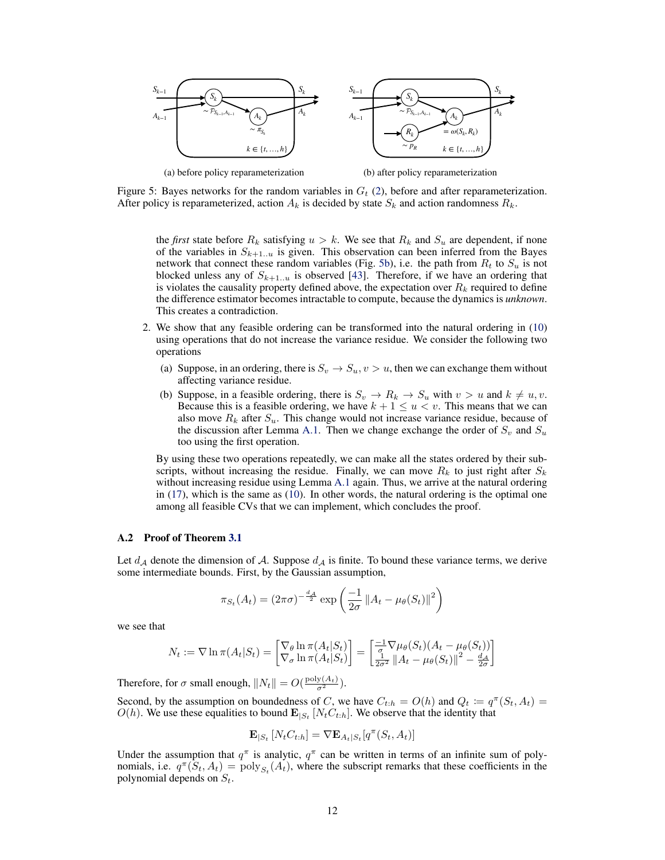<span id="page-11-0"></span>

Figure 5: Bayes networks for the random variables in  $G_t$  [\(2\)](#page-2-0), before and after reparameterization. After policy is reparameterized, action  $A_k$  is decided by state  $S_k$  and action randomness  $R_k$ .

the *first* state before  $R_k$  satisfying  $u > k$ . We see that  $R_k$  and  $S_u$  are dependent, if none of the variables in  $S_{k+1..u}$  is given. This observation can been inferred from the Bayes network that connect these random variables (Fig. 5b), i.e. the path from  $R_t$  to  $S_u$  is not blocked unless any of  $S_{k+1..u}$  is observed [\[43\]](#page-9-0). Therefore, if we have an ordering that is violates the causality property defined above, the expectation over  $R_k$  required to define the difference estimator becomes intractable to compute, because the dynamics is *unknown*. This creates a contradiction.

- 2. We show that any feasible ordering can be transformed into the natural ordering in [\(10\)](#page-5-0) using operations that do not increase the variance residue. We consider the following two operations
	- (a) Suppose, in an ordering, there is  $S_v \to S_u$ ,  $v > u$ , then we can exchange them without affecting variance residue.
	- (b) Suppose, in a feasible ordering, there is  $S_v \to R_k \to S_u$  with  $v > u$  and  $k \neq u, v$ . Because this is a feasible ordering, we have  $k + 1 \le u < v$ . This means that we can also move  $R_k$  after  $S_u$ . This change would not increase variance residue, because of the discussion after Lemma [A.1.](#page-10-0) Then we change exchange the order of  $S_v$  and  $S_u$ too using the first operation.

By using these two operations repeatedly, we can make all the states ordered by their subscripts, without increasing the residue. Finally, we can move  $R_k$  to just right after  $S_k$ without increasing residue using Lemma [A.1](#page-10-0) again. Thus, we arrive at the natural ordering in [\(17\)](#page-10-0), which is the same as [\(10\)](#page-5-0). In other words, the natural ordering is the optimal one among all feasible CVs that we can implement, which concludes the proof.

### A.2 Proof of Theorem [3.1](#page-3-0)

Let  $d_A$  denote the dimension of A. Suppose  $d_A$  is finite. To bound these variance terms, we derive some intermediate bounds. First, by the Gaussian assumption,

$$
\pi_{S_t}(A_t) = (2\pi\sigma)^{-\frac{d_A}{2}} \exp\left(\frac{-1}{2\sigma} ||A_t - \mu_\theta(S_t)||^2\right)
$$

we see that

$$
N_t := \nabla \ln \pi(A_t|S_t) = \begin{bmatrix} \nabla_\theta \ln \pi(A_t|S_t) \\ \nabla_\sigma \ln \pi(A_t|S_t) \end{bmatrix} = \begin{bmatrix} \frac{-1}{\sigma} \nabla \mu_\theta(S_t)(A_t - \mu_\theta(S_t)) \\ \frac{1}{2\sigma^2} ||A_t - \mu_\theta(S_t)||^2 - \frac{d_A}{2\sigma} \end{bmatrix}
$$

Therefore, for  $\sigma$  small enough,  $||N_t|| = O(\frac{\text{poly}(A_t)}{\sigma^2})$ .

Second, by the assumption on boundedness of C, we have  $C_{t:h} = O(h)$  and  $Q_t := q^{\pi}(S_t, A_t) =$  $O(h)$ . We use these equalities to bound  $\mathbf{E}_{|S_t}[N_t C_{t:h}]$ . We observe that the identity that

$$
\mathbf{E}_{|S_t}[N_t C_{t:h}] = \nabla \mathbf{E}_{A_t|S_t}[q^{\pi}(S_t, A_t)]
$$

Under the assumption that  $q^{\pi}$  is analytic,  $q^{\pi}$  can be written in terms of an infinite sum of polynomials, i.e.  $q^{\pi}(\tilde{S}_t, A_t) = \text{poly}_{S_t}(A_t)$ , where the subscript remarks that these coefficients in the polynomial depends on  $S_t$ .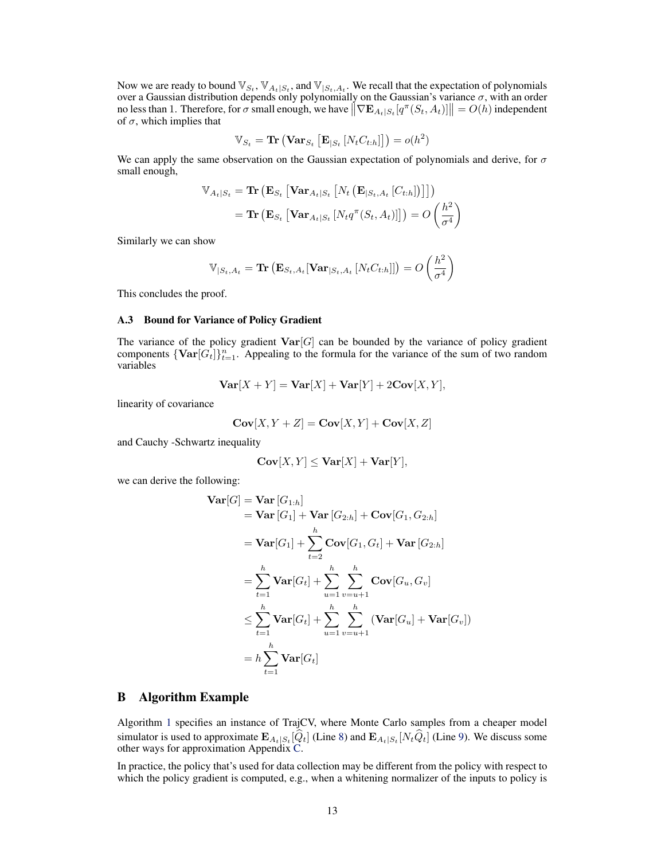<span id="page-12-0"></span>Now we are ready to bound  $\mathbb{V}_{S_t}$ ,  $\mathbb{V}_{A_t|S_t}$ , and  $\mathbb{V}_{|S_t,A_t}$ . We recall that the expectation of polynomials over a Gaussian distribution depends only polynomially on the Gaussian's variance  $\sigma$ , with an order no less than 1. Therefore, for  $\sigma$  small enough, we have  $\|\nabla \mathbf{E}_{A_t|S_t}[q^{\pi}(S_t, A_t)]\| = O(h)$  independent of  $\sigma$ , which implies that

$$
\mathbb{V}_{S_t} = \mathbf{Tr} \left( \mathbf{Var}_{S_t} \left[ \mathbf{E}_{|S_t} \left[ N_t C_{t:h} \right] \right] \right) = o(h^2)
$$

We can apply the same observation on the Gaussian expectation of polynomials and derive, for  $\sigma$ small enough,

$$
\mathbb{V}_{A_t|S_t} = \textbf{Tr} \left( \mathbf{E}_{S_t} \left[ \mathbf{Var}_{A_t|S_t} \left[ N_t \left( \mathbf{E}_{|S_t, A_t} \left[ C_{t:h} \right] \right) \right] \right] \right)
$$
  
= 
$$
\textbf{Tr} \left( \mathbf{E}_{S_t} \left[ \mathbf{Var}_{A_t|S_t} \left[ N_t q^{\pi}(S_t, A_t) \right] \right] \right) = O \left( \frac{h^2}{\sigma^4} \right)
$$

Similarly we can show

$$
\mathbb{V}_{|S_t, A_t} = \text{Tr} \left( \mathbf{E}_{S_t, A_t} [\mathbf{Var}_{|S_t, A_t} [N_t C_{t:h}]] \right) = O \left( \frac{h^2}{\sigma^4} \right)
$$

This concludes the proof.

## A.3 Bound for Variance of Policy Gradient

The variance of the policy gradient  $\text{Var}[G]$  can be bounded by the variance of policy gradient components  $\{ \text{Var}[G_t] \}_{t=1}^n$ . Appealing to the formula for the variance of the sum of two random variables

$$
\mathbf{Var}[X+Y] = \mathbf{Var}[X] + \mathbf{Var}[Y] + 2\mathbf{Cov}[X,Y],
$$

linearity of covariance

$$
\mathbf{Cov}[X, Y + Z] = \mathbf{Cov}[X, Y] + \mathbf{Cov}[X, Z]
$$

and Cauchy -Schwartz inequality

$$
\mathbf{Cov}[X,Y] \leq \mathbf{Var}[X] + \mathbf{Var}[Y],
$$

we can derive the following:

$$
\begin{aligned}\n\textbf{Var}[G] &= \textbf{Var}[G_{1:h}] \\
&= \textbf{Var}[G_1] + \textbf{Var}[G_{2:h}] + \textbf{Cov}[G_1, G_{2:h}] \\
&= \textbf{Var}[G_1] + \sum_{t=2}^{h} \textbf{Cov}[G_1, G_t] + \textbf{Var}[G_{2:h}] \\
&= \sum_{t=1}^{h} \textbf{Var}[G_t] + \sum_{u=1}^{h} \sum_{v=u+1}^{h} \textbf{Cov}[G_u, G_v] \\
&\leq \sum_{t=1}^{h} \textbf{Var}[G_t] + \sum_{u=1}^{h} \sum_{v=u+1}^{h} (\textbf{Var}[G_u] + \textbf{Var}[G_v]) \\
&= h \sum_{t=1}^{h} \textbf{Var}[G_t]\n\end{aligned}
$$

## B Algorithm Example

Algorithm [1](#page-13-0) specifies an instance of TrajCV, where Monte Carlo samples from a cheaper model simulator is used to approximate  $\mathbf{E}_{A_t|S_t}[Q_t]$  (Line [8\)](#page-13-0) and  $\mathbf{E}_{A_t|S_t}[N_tQ_t]$  (Line [9\)](#page-13-0). We discuss some other ways for approximation Appendix [C.](#page-13-0)

In practice, the policy that's used for data collection may be different from the policy with respect to which the policy gradient is computed, e.g., when a whitening normalizer of the inputs to policy is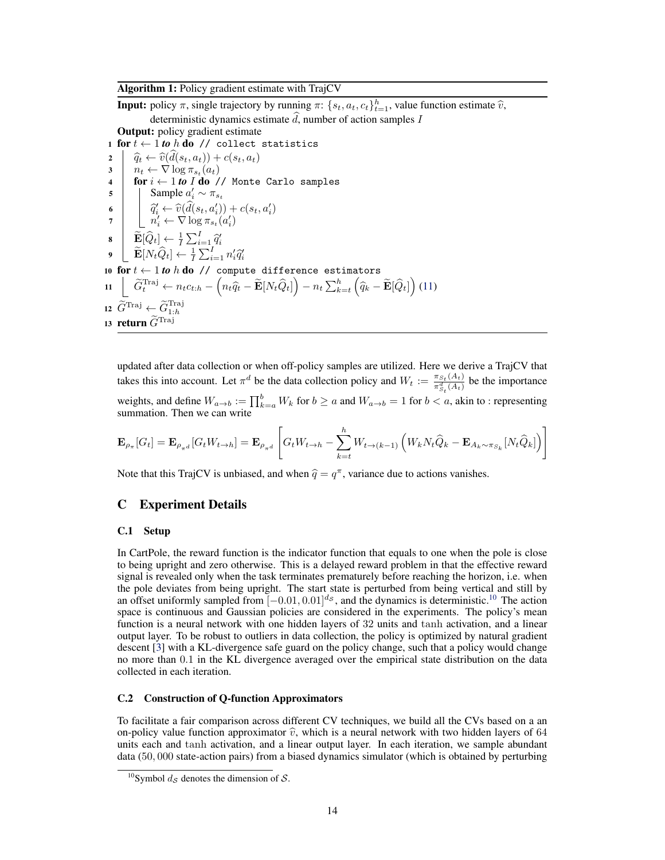# <span id="page-13-0"></span>Algorithm 1: Policy gradient estimate with TrajCV

**Input:** policy  $\pi$ , single trajectory by running  $\pi$ : { $s_t$ ,  $a_t$ ,  $c_t$ } $_{t=1}^h$ , value function estimate  $\hat{v}$ , deterministic dynamics estimate  $\tilde{d}$ , number of action samples I Output: policy gradient estimate

1 for  $t \leftarrow 1$  to h do // collect statistics

 $\begin{array}{c|c}\n\mathbf{2} & \hat{q}_t \leftarrow \hat{v}(d(s_t, a_t)) + c(s_t, a_t) \\
\hline\n\mathbf{3} & n_t \leftarrow \nabla \log \pi_{s_t}(a_t)\n\end{array}$  $3 \mid n_t \leftarrow \nabla \log \pi_{s_t}(a_t)$ 4 for  $i \leftarrow 1$  to  $\overline{I}$  do  $\overline{I}$  Monte Carlo samples 5 Sample  $a'_i \sim \pi_{s_t}$ 6  $\hat{q}'_i \leftarrow \hat{v}(\hat{d}(s_t, a'_i)) + c(s_t, a'_i)$ 7  $\begin{bmatrix} n'_i \leftarrow \nabla \log \pi_{s_t}(a'_i) \end{bmatrix}$ 8  $\mathbf{E}[\widehat{Q}_t] \leftarrow \frac{1}{I} \sum_{i=1}^I \widehat{q}_i'$ <br>
9  $\mathbf{E}[N_t\widehat{Q}_t] \leftarrow \frac{1}{I} \sum_{i=1}^I n_i'\widehat{q}_i'$ 10 for  $t \leftarrow 1$  to h do // compute difference estimators 11  $\left[ \tilde{G}_t^{\text{Traj}} \leftarrow n_t c_{t:h} - \left( n_t \hat{q}_t - \tilde{\mathbf{E}}[N_t \hat{Q}_t] \right) - n_t \sum_{k=t}^h \left( \hat{q}_k - \tilde{\mathbf{E}}[\hat{Q}_t] \right) (11) \right]$  $\left[ \tilde{G}_t^{\text{Traj}} \leftarrow n_t c_{t:h} - \left( n_t \hat{q}_t - \tilde{\mathbf{E}}[N_t \hat{Q}_t] \right) - n_t \sum_{k=t}^h \left( \hat{q}_k - \tilde{\mathbf{E}}[\hat{Q}_t] \right) (11) \right]$  $\left[ \tilde{G}_t^{\text{Traj}} \leftarrow n_t c_{t:h} - \left( n_t \hat{q}_t - \tilde{\mathbf{E}}[N_t \hat{Q}_t] \right) - n_t \sum_{k=t}^h \left( \hat{q}_k - \tilde{\mathbf{E}}[\hat{Q}_t] \right) (11) \right]$ <sup>12</sup> <sup>G</sup>eTraj <sup>←</sup> <sup>G</sup>eTraj 1:h 13 return  $\widetilde{G}^{\text{Traj}}$ 

updated after data collection or when off-policy samples are utilized. Here we derive a TrajCV that takes this into account. Let  $\pi^d$  be the data collection policy and  $W_t := \frac{\pi_{S_t}(A_t)}{\pi^d(A_t)}$  $\frac{\pi_{S_t}(A_t)}{\pi_{S_t}^d(A_t)}$  be the importance weights, and define  $W_{a\to b} := \prod_{k=a}^{b} W_k$  for  $b \ge a$  and  $W_{a\to b} = 1$  for  $b < a$ , akin to : representing summation. Then we can write

$$
\mathbf{E}_{\rho_{\pi}}[G_t] = \mathbf{E}_{\rho_{\pi^d}}[G_t W_{t \to h}] = \mathbf{E}_{\rho_{\pi^d}} \left[ G_t W_{t \to h} - \sum_{k=t}^h W_{t \to (k-1)} \left( W_k N_t \hat{Q}_k - \mathbf{E}_{A_k \sim \pi_{S_k}} [N_t \hat{Q}_k] \right) \right]
$$

Note that this TrajCV is unbiased, and when  $\hat{q} = q^{\pi}$ , variance due to actions vanishes.

# C Experiment Details

## C.1 Setup

In CartPole, the reward function is the indicator function that equals to one when the pole is close to being upright and zero otherwise. This is a delayed reward problem in that the effective reward signal is revealed only when the task terminates prematurely before reaching the horizon, i.e. when the pole deviates from being upright. The start state is perturbed from being vertical and still by an offset uniformly sampled from  $[-0.01, 0.01]^{d_s}$ , and the dynamics is deterministic.<sup>10</sup> The action space is continuous and Gaussian policies are considered in the experiments. The policy's mean function is a neural network with one hidden layers of 32 units and tanh activation, and a linear output layer. To be robust to outliers in data collection, the policy is optimized by natural gradient descent [\[3\]](#page-8-0) with a KL-divergence safe guard on the policy change, such that a policy would change no more than 0.1 in the KL divergence averaged over the empirical state distribution on the data collected in each iteration.

## C.2 Construction of Q-function Approximators

To facilitate a fair comparison across different CV techniques, we build all the CVs based on a an on-policy value function approximator  $\hat{v}$ , which is a neural network with two hidden layers of 64 units each and tanh activation, and a linear output layer. In each iteration, we sample abundant data (50, 000 state-action pairs) from a biased dynamics simulator (which is obtained by perturbing

<sup>&</sup>lt;sup>10</sup>Symbol  $d_{\mathcal{S}}$  denotes the dimension of  $\mathcal{S}$ .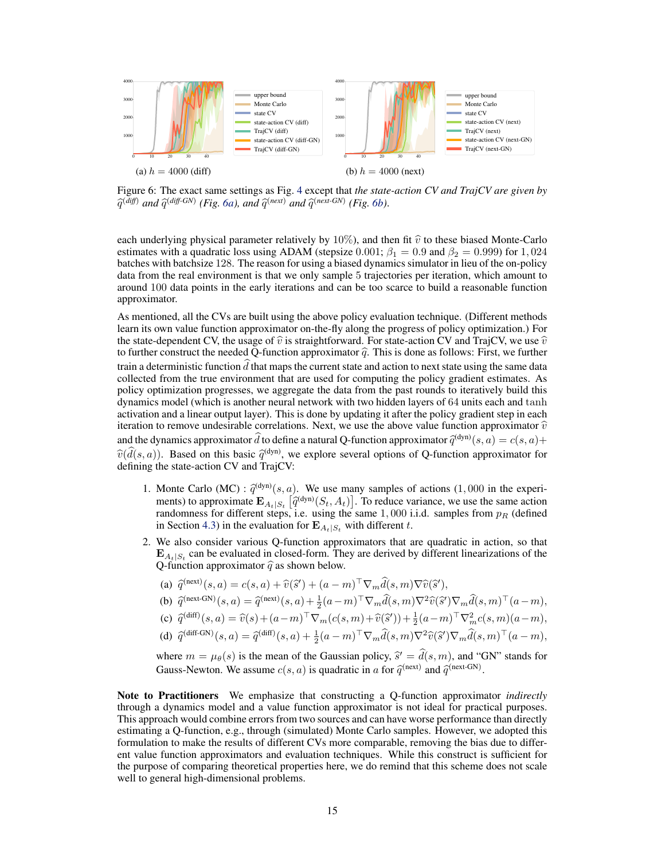<span id="page-14-0"></span>

same settings as  $\Gamma$ 1g.  $40$ Figure 6: The exact same settings as Fig. [4](#page-7-0) except that *the state-action CV and TrajCV are given by*  $\widehat{q}^{(diff)}$  and  $\widehat{q}^{(diff\text{-}GN)}$  (Fig. 6a), and  $\widehat{q}^{(next)}$  and  $\widehat{q}^{(next\text{-}GN)}$  (Fig. 6b).

each underlying physical parameter relatively by  $10\%$ ), and then fit  $\hat{v}$  to these biased Monte-Carlo estimates with a quadratic loss using ADAM (stepsize 0.001;  $\beta_1 = 0.9$  and  $\beta_2 = 0.999$ ) for 1,024 batches with batchsize 128. The reason for using a biased dynamics simulator in lieu of the on-policy data from the real environment is that we only sample 5 trajectories per iteration, which amount to around 100 data points in the early iterations and can be too scarce to build a reasonable function approximator.

As mentioned, all the CVs are built using the above policy evaluation technique. (Different methods learn its own value function approximator on-the-fly along the progress of policy optimization.) For the state-dependent CV, the usage of  $\hat{v}$  is straightforward. For state-action CV and TrajCV, we use  $\hat{v}$ to further construct the needed Q-function approximator  $\hat{q}$ . This is done as follows: First, we further train a deterministic function  $\hat{d}$  that maps the current state and action to next state using the same data collected from the true environment that are used for computing the policy gradient estimates. As policy optimization progresses, we aggregate the data from the past rounds to iteratively build this dynamics model (which is another neural network with two hidden layers of 64 units each and tanh activation and a linear output layer). This is done by updating it after the policy gradient step in each iteration to remove undesirable correlations. Next, we use the above value function approximator  $\hat{v}$ and the dynamics approximator d to define a natural Q-function approximator  $\hat{q}^{(\text{dyn})}(s, a) = c(s, a) + c(\hat{d}(s, a))$ . Bessed as this hasis  $\hat{q}^{(\text{dyn})}$  we surpluse appeal actions of  $\Omega$  function approximator for  $\hat{v}(\hat{d}(s, a))$ . Based on this basic  $\hat{q}^{(\text{dyn})}$ , we explore several options of Q-function approximator for defining the state-action CV and TraiCV. defining the state-action CV and TrajCV:

- 1. Monte Carlo (MC) :  $\hat{q}^{(\text{dyn})}(s, a)$ . We use many samples of actions (1,000 in the experiments) to approximate  $\mathbf{F}_{\text{total}} = [\hat{q}^{(\text{dyn})}(s, A)]$ . To reduce variance, we use the same action ments) to approximate  $\mathbf{E}_{A_t|S_t}$   $[\hat{q}^{(\text{dyn})}(S_t, A_t)]$ . To reduce variance, we use the same action randomness for different steps i.e. using the same 1,000 i.i.d. samples from  $p_B$  (defined randomness for different steps, i.e. using the same  $1,000$  i.i.d. samples from  $p_R$  (defined in Section [4.3\)](#page-6-0) in the evaluation for  $\mathbf{E}_{A_t|S_t}$  with different t.
- 2. We also consider various Q-function approximators that are quadratic in action, so that  $\mathbf{E}_{A_t|S_t}$  can be evaluated in closed-form. They are derived by different linearizations of the Q-function approximator  $\hat{q}$  as shown below.
	- (a)  $\widehat{q}^{\text{(next)}}(s, a) = c(s, a) + \widehat{v}(\widehat{s}') + (a m)^{\top} \nabla_m \widehat{d}(s, m) \nabla \widehat{v}(\widehat{s}')$
	- (b)  $\hat{q}^{\text{(next-GN)}}(s, a) = \hat{q}^{\text{(next)}}(s, a) + \frac{1}{2}(a m)^{\top} \nabla_m \hat{d}(s, m) \nabla^2 \hat{v}(\hat{s}') \nabla_m \hat{d}(s, m)^{\top} (a m),$
	- (c)  $\hat{q}^{(\text{diff})}(s, a) = \hat{v}(s) + (a-m)^{\top} \nabla_m(c(s, m) + \hat{v}(\hat{s}')) + \frac{1}{2}(a-m)^{\top} \nabla_m^2 c(s, m)(a-m),$
	- (d)  $\hat{q}^{(\text{diff-GN})}(s, a) = \hat{q}^{(\text{diff})}(s, a) + \frac{1}{2}(a m)^{\top} \nabla_m \hat{d}(s, m) \nabla^2 \hat{v}(\hat{s}') \nabla_m \hat{d}(s, m)^{\top} (a m),$

where  $m = \mu_{\theta}(s)$  is the mean of the Gaussian policy,  $\hat{s}' = \hat{d}(s, m)$ , and "GN" stands for Gauss Newton, We assume  $g(s, a)$  is quadratic in a for  $\hat{g}(\text{next-GN})$ Gauss-Newton. We assume  $c(s, a)$  is quadratic in a for  $\hat{q}^{\text{(next)}}$  and  $\hat{q}^{\text{(next-GN)}}$ .

Note to Practitioners We emphasize that constructing a Q-function approximator *indirectly* through a dynamics model and a value function approximator is not ideal for practical purposes. This approach would combine errors from two sources and can have worse performance than directly estimating a Q-function, e.g., through (simulated) Monte Carlo samples. However, we adopted this formulation to make the results of different CVs more comparable, removing the bias due to different value function approximators and evaluation techniques. While this construct is sufficient for the purpose of comparing theoretical properties here, we do remind that this scheme does not scale well to general high-dimensional problems.